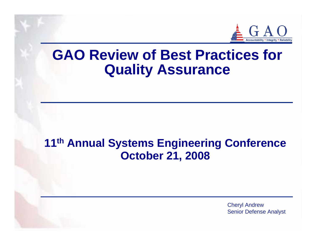

# **GAO Review of Best Practices for Quality Assurance**

## **11th Annual Systems Engineering Conference October 21, 2008**

Cheryl Andrew Senior Defense Analyst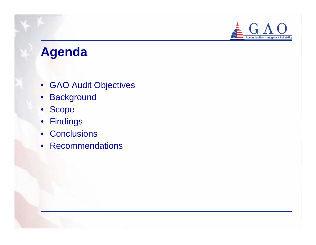

# **Agenda**

- GAO Audit Objectives
- Background
- $\bullet$ Scope
- Findings
- Conclusions
- Recommendations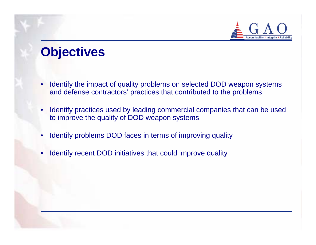

# **Objectives**

- • Identify the impact of quality problems on selected DOD weapon systems and defense contractors' practices that contributed to the problems
- • Identify practices used by leading commercial companies that can be used to improve the quality of DOD weapon systems
- •Identify problems DOD faces in terms of improving quality
- •Identify recent DOD initiatives that could improve quality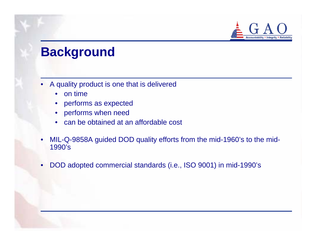

# **Background**

- • A quality product is one that is delivered
	- $\bullet$ on time
	- •performs as expected
	- •performs when need
	- •can be obtained at an affordable cost
- • MIL-Q-9858A guided DOD quality efforts from the mid-1960's to the mid-1990's
- $\bullet$ DOD adopted commercial standards (i.e., ISO 9001) in mid-1990's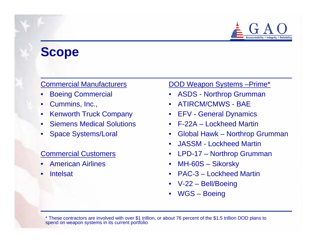

# **Scope**

#### Commercial Manufacturers

- •Boeing Commercial
- •Cummins, Inc.,
- Kenworth Truck Company
- Siemens Medical Solutions
- •Space Systems/Loral

#### Commercial Customers

- •American Airlines
- •Intelsat

#### DOD Weapon Systems –Prime\*

- •ASDS - Northrop Grumman
- •ATIRCM/CMWS - BAE
- •EFV - General Dynamics
- F-22A Lockheed Martin
- $\bullet$ Global Hawk – Northrop Grumman
- •JASSM - Lockheed Martin
- •LPD-17 – Northrop Grumman
- MH-60S Sikorsky
- •PAC-3 – Lockheed Martin
- V-22 Bell/Boeing
- •WGS – Boeing

\* These contractors are involved with over \$1 trillion, or about 76 percent of the \$1.5 trillion DOD plans to spend on weapon systems in its current portfolio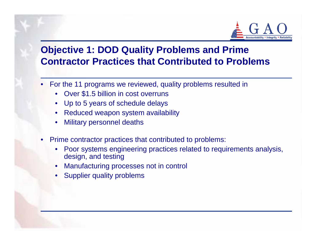

### **Objective 1: DOD Quality Problems and Prime Contractor Practices that Contributed to Problems**

- For the 11 programs we reviewed, quality problems resulted in
	- $\bullet$ Over \$1.5 billion in cost overruns
	- Up to 5 years of schedule delays
	- •Reduced weapon system availability
	- •Military personnel deaths
- • Prime contractor practices that contributed to problems:
	- • Poor systems engineering practices related to requirements analysis, design, and testing
	- •Manufacturing processes not in control
	- •Supplier quality problems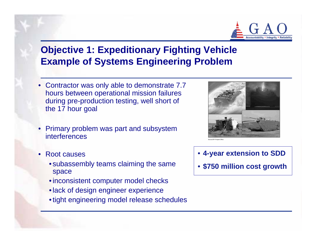

### **Objective 1: Expeditionary Fighting Vehicle Example of Systems Engineering Problem**

- Contractor was only able to demonstrate 7.7 hours between operational mission failures during pre-production testing, well short of the 17 hour goal
- • Primary problem was part and subsystem interferences
- Root causes
	- subassembly teams claiming the same space
	- inconsistent computer model checks
	- lack of design engineer experience
	- tight engineering model release schedules



- **4-year extension to SDD**
- **\$750 million cost growth**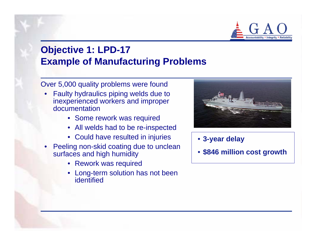

### **Objective 1: LPD-17 Example of Manufacturing Problems**

Over 5,000 quality problems were found

- • Faulty hydraulics piping welds due to inexperienced workers and improper documentation
	- Some rework was required
	- All welds had to be re-inspected
	- Could have resulted in injuries
- • Peeling non-skid coating due to unclean surfaces and high humidity
	- Rework was required
	- • Long-term solution has not been identified



- **3-year delay**
- **\$846 million cost growth**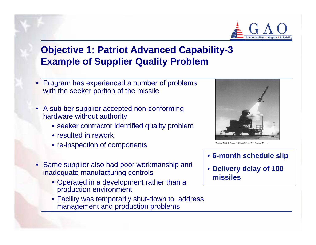

### **Objective 1: Patriot Advanced Capability-3 Example of Supplier Quality Problem**

- • Program has experienced a number of problems with the seeker portion of the missile
- A sub-tier supplier accepted non-conforming hardware without authority
	- seeker contractor identified quality problem
	- resulted in rework
	- re-inspection of components
- • Same supplier also had poor workmanship and inadequate manufacturing controls
	- Operated in a development rather than a production environment
	- Facility was temporarily shut-down to address management and production problems



urce: PAC-3 Product Office, Lower Tier Project Offic

- **6-month schedule slip**
- **Delivery delay of 100 missiles**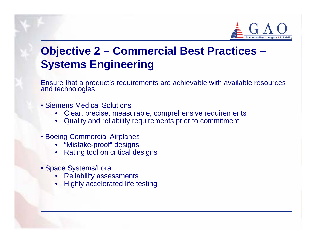

## **Objective 2 – Commercial Best Practices – Systems Engineering**

Ensure that a product's requirements are achievable with available resources and technologies

- Siemens Medical Solutions
	- •Clear, precise, measurable, comprehensive requirements
	- •Quality and reliability requirements prior to commitment
- Boeing Commercial Airplanes
	- •"Mistake-proof" designs
	- •Rating tool on critical designs
- Space Systems/Loral
	- •Reliability assessments
	- •Highly accelerated life testing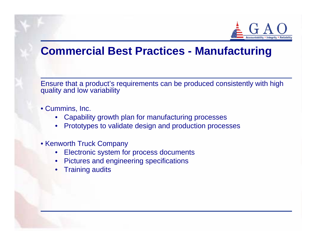

### **Commercial Best Practices - Manufacturing**

Ensure that a product's requirements can be produced consistently with high quality and low variability

- Cummins, Inc.
	- •Capability growth plan for manufacturing processes
	- •Prototypes to validate design and production processes
- Kenworth Truck Company
	- •Electronic system for process documents
	- $\bullet$ Pictures and engineering specifications
	- •Training audits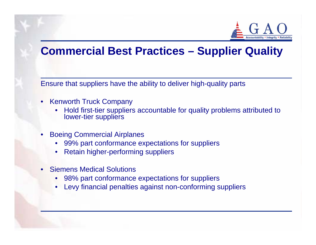

## **Commercial Best Practices – Supplier Quality**

Ensure that suppliers have the ability to deliver high-quality parts

- Kenworth Truck Company
	- •Hold first-tier suppliers accountable for quality problems attributed to lower-tier suppliers
- • Boeing Commercial Airplanes
	- $\bullet$ 99% part conformance expectations for suppliers
	- •Retain higher-performing suppliers
- • Siemens Medical Solutions
	- •98% part conformance expectations for suppliers
	- •Levy financial penalties against non-conforming suppliers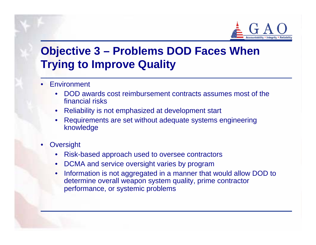

## **Objective 3 – Problems DOD Faces When Trying to Improve Quality**

- • Environment
	- $\bullet$  DOD awards cost reimbursement contracts assumes most of the financial risks
	- •Reliability is not emphasized at development start
	- • Requirements are set without adequate systems engineering knowledge
- •**Oversight** 
	- $\bullet$ Risk-based approach used to oversee contractors
	- $\bullet$ DCMA and service oversight varies by program
	- • Information is not aggregated in a manner that would allow DOD to determine overall weapon system quality, prime contractor performance, or systemic problems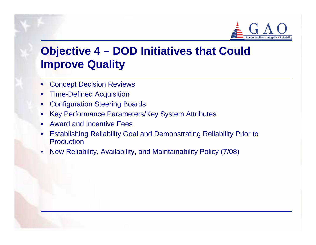

## **Objective 4 – DOD Initiatives that Could Improve Quality**

- •Concept Decision Reviews
- •Time-Defined Acquisition
- •Configuration Steering Boards
- •Key Performance Parameters/Key System Attributes
- Award and Incentive Fees
- • Establishing Reliability Goal and Demonstrating Reliability Prior to Production
- •New Reliability, Availability, and Maintainability Policy (7/08)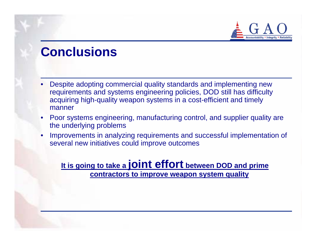

# **Conclusions**

- • Despite adopting commercial quality standards and implementing new requirements and systems engineering policies, DOD still has difficulty acquiring high-quality weapon systems in a cost-efficient and timely manner
- $\bullet$  Poor systems engineering, manufacturing control, and supplier quality are the underlying problems
- • Improvements in analyzing requirements and successful implementation of several new initiatives could improve outcomes

#### **It is going to take a joint effort between DOD and prime contractors to improve weapon system quality**